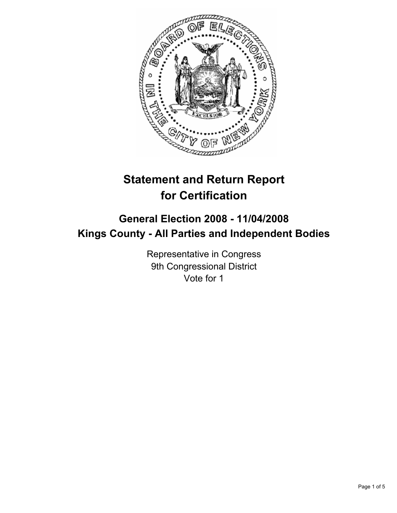

# **Statement and Return Report for Certification**

## **General Election 2008 - 11/04/2008 Kings County - All Parties and Independent Bodies**

Representative in Congress 9th Congressional District Vote for 1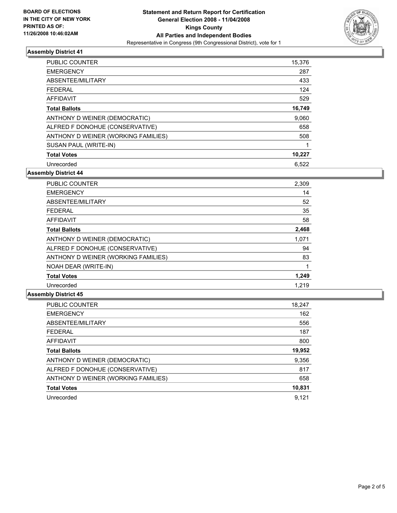

### **Assembly District 41**

| <b>PUBLIC COUNTER</b>               | 15,376 |
|-------------------------------------|--------|
| <b>EMERGENCY</b>                    | 287    |
| ABSENTEE/MILITARY                   | 433    |
| <b>FEDERAL</b>                      | 124    |
| <b>AFFIDAVIT</b>                    | 529    |
| <b>Total Ballots</b>                | 16,749 |
| ANTHONY D WEINER (DEMOCRATIC)       | 9,060  |
| ALFRED F DONOHUE (CONSERVATIVE)     | 658    |
| ANTHONY D WEINER (WORKING FAMILIES) | 508    |
| SUSAN PAUL (WRITE-IN)               |        |
| <b>Total Votes</b>                  | 10,227 |
| Unrecorded                          | 6.522  |

**Assembly District 44**

| PUBLIC COUNTER                      | 2,309 |  |
|-------------------------------------|-------|--|
| <b>EMERGENCY</b>                    | 14    |  |
| ABSENTEE/MILITARY                   | 52    |  |
| <b>FEDERAL</b>                      | 35    |  |
| <b>AFFIDAVIT</b>                    | 58    |  |
| <b>Total Ballots</b>                | 2,468 |  |
| ANTHONY D WEINER (DEMOCRATIC)       | 1,071 |  |
| ALFRED F DONOHUE (CONSERVATIVE)     | 94    |  |
| ANTHONY D WEINER (WORKING FAMILIES) | 83    |  |
| NOAH DEAR (WRITE-IN)                |       |  |
| <b>Total Votes</b>                  | 1,249 |  |
| Unrecorded                          | 1.219 |  |

#### **Assembly District 45**

| PUBLIC COUNTER                      | 18,247 |
|-------------------------------------|--------|
| <b>EMERGENCY</b>                    | 162    |
| ABSENTEE/MILITARY                   | 556    |
| FEDERAL                             | 187    |
| AFFIDAVIT                           | 800    |
| <b>Total Ballots</b>                | 19,952 |
| ANTHONY D WEINER (DEMOCRATIC)       | 9,356  |
| ALFRED F DONOHUE (CONSERVATIVE)     | 817    |
| ANTHONY D WEINER (WORKING FAMILIES) | 658    |
| <b>Total Votes</b>                  | 10,831 |
| Unrecorded                          | 9,121  |
|                                     |        |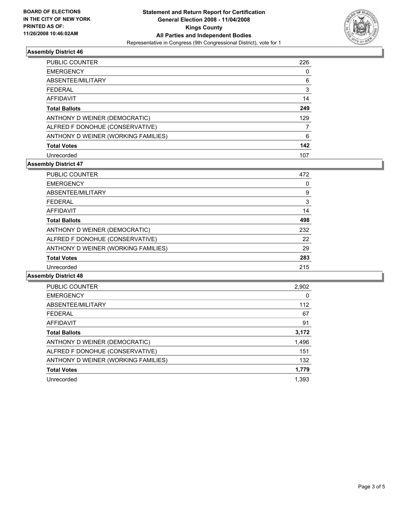

### **Assembly District 46**

| <b>PUBLIC COUNTER</b>               | 226 |
|-------------------------------------|-----|
| <b>EMERGENCY</b>                    |     |
| ABSENTEE/MILITARY                   | 6   |
| <b>FEDERAL</b>                      | 3   |
| AFFIDAVIT                           | 14  |
| <b>Total Ballots</b>                | 249 |
| ANTHONY D WEINER (DEMOCRATIC)       | 129 |
| ALFRED F DONOHUE (CONSERVATIVE)     |     |
| ANTHONY D WEINER (WORKING FAMILIES) | 6   |
| <b>Total Votes</b>                  | 142 |
| Unrecorded                          | 107 |

### **Assembly District 47**

| <b>PUBLIC COUNTER</b>               | 472 |
|-------------------------------------|-----|
| <b>EMERGENCY</b>                    |     |
| ABSENTEE/MILITARY                   | 9   |
| <b>FEDERAL</b>                      | 3   |
| <b>AFFIDAVIT</b>                    | 14  |
| <b>Total Ballots</b>                | 498 |
| ANTHONY D WEINER (DEMOCRATIC)       | 232 |
| ALFRED F DONOHUE (CONSERVATIVE)     | 22  |
| ANTHONY D WEINER (WORKING FAMILIES) | 29  |
| <b>Total Votes</b>                  | 283 |
| Unrecorded                          | 215 |

### **Assembly District 48**

| <b>PUBLIC COUNTER</b>               | 2,902 |
|-------------------------------------|-------|
| <b>EMERGENCY</b>                    | 0     |
| ABSENTEE/MILITARY                   | 112   |
| <b>FEDERAL</b>                      | 67    |
| AFFIDAVIT                           | 91    |
| <b>Total Ballots</b>                | 3,172 |
| ANTHONY D WEINER (DEMOCRATIC)       | 1,496 |
| ALFRED F DONOHUE (CONSERVATIVE)     | 151   |
| ANTHONY D WEINER (WORKING FAMILIES) | 132   |
| <b>Total Votes</b>                  | 1,779 |
| Unrecorded                          | 1,393 |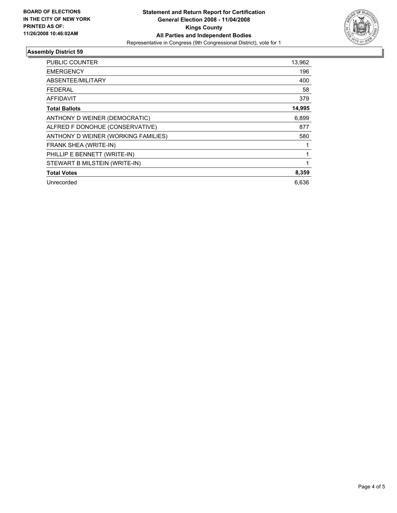

### **Assembly District 59**

| PUBLIC COUNTER                      | 13,962 |
|-------------------------------------|--------|
| <b>EMERGENCY</b>                    | 196    |
| ABSENTEE/MILITARY                   | 400    |
| FEDERAL                             | 58     |
| <b>AFFIDAVIT</b>                    | 379    |
| <b>Total Ballots</b>                | 14,995 |
| ANTHONY D WEINER (DEMOCRATIC)       | 6,899  |
| ALFRED F DONOHUE (CONSERVATIVE)     | 877    |
| ANTHONY D WEINER (WORKING FAMILIES) | 580    |
| FRANK SHEA (WRITE-IN)               |        |
| PHILLIP E BENNETT (WRITE-IN)        |        |
| STEWART B MILSTEIN (WRITE-IN)       |        |
| <b>Total Votes</b>                  | 8,359  |
| Unrecorded                          | 6,636  |